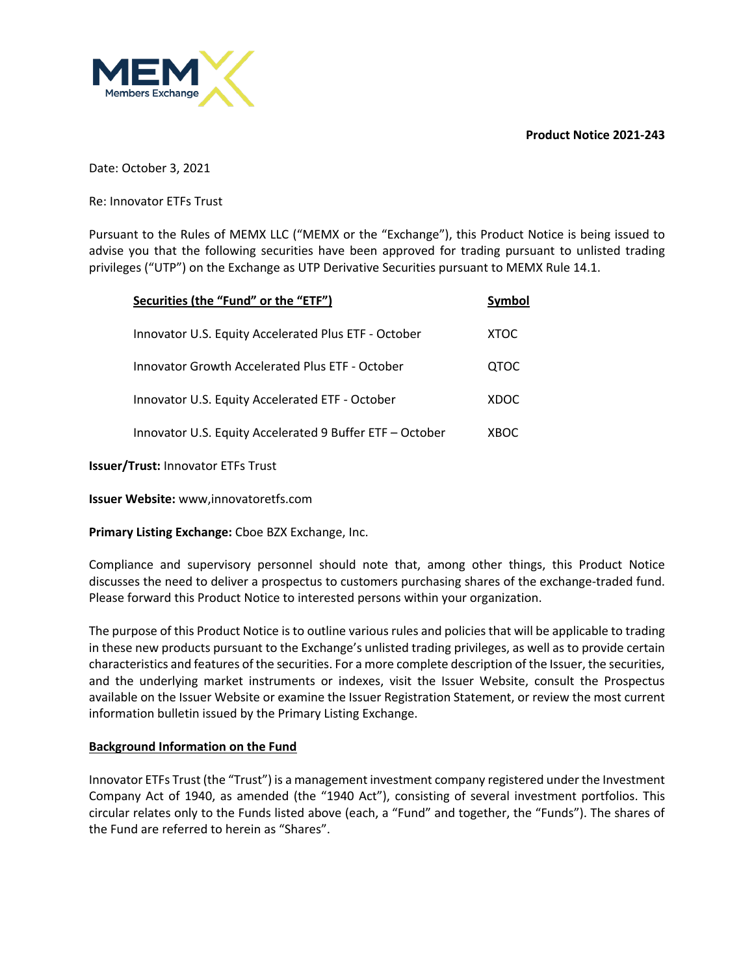**Product Notice 2021-243**



Date: October 3, 2021

Re: Innovator ETFs Trust

Pursuant to the Rules of MEMX LLC ("MEMX or the "Exchange"), this Product Notice is being issued to advise you that the following securities have been approved for trading pursuant to unlisted trading privileges ("UTP") on the Exchange as UTP Derivative Securities pursuant to MEMX Rule 14.1.

| Securities (the "Fund" or the "ETF")                     | Symbol      |
|----------------------------------------------------------|-------------|
| Innovator U.S. Equity Accelerated Plus ETF - October     | XTOC        |
| <b>Innovator Growth Accelerated Plus ETF - October</b>   | <b>QTOC</b> |
| Innovator U.S. Equity Accelerated ETF - October          | XDOC        |
| Innovator U.S. Equity Accelerated 9 Buffer ETF - October | XBOC        |

**Issuer/Trust:** Innovator ETFs Trust

**Issuer Website:** www,innovatoretfs.com

**Primary Listing Exchange:** Cboe BZX Exchange, Inc.

Compliance and supervisory personnel should note that, among other things, this Product Notice discusses the need to deliver a prospectus to customers purchasing shares of the exchange-traded fund. Please forward this Product Notice to interested persons within your organization.

The purpose of this Product Notice is to outline various rules and policies that will be applicable to trading in these new products pursuant to the Exchange's unlisted trading privileges, as well as to provide certain characteristics and features of the securities. For a more complete description of the Issuer, the securities, and the underlying market instruments or indexes, visit the Issuer Website, consult the Prospectus available on the Issuer Website or examine the Issuer Registration Statement, or review the most current information bulletin issued by the Primary Listing Exchange.

#### **Background Information on the Fund**

Innovator ETFs Trust (the "Trust") is a management investment company registered under the Investment Company Act of 1940, as amended (the "1940 Act"), consisting of several investment portfolios. This circular relates only to the Funds listed above (each, a "Fund" and together, the "Funds"). The shares of the Fund are referred to herein as "Shares".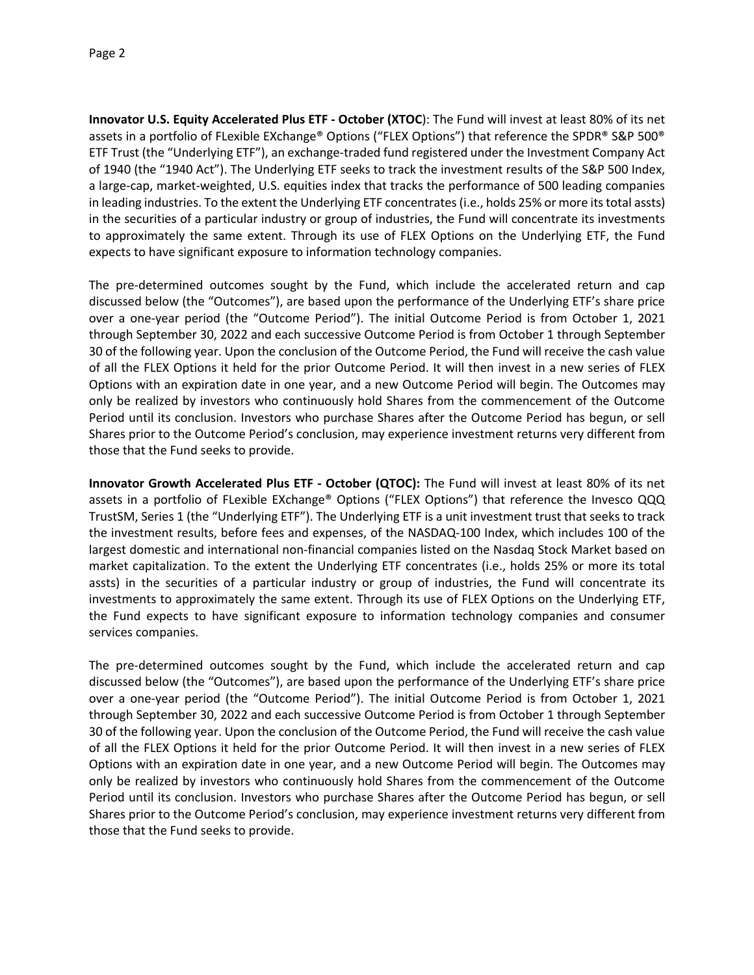**Innovator U.S. Equity Accelerated Plus ETF - October (XTOC**): The Fund will invest at least 80% of its net assets in a portfolio of FLexible EXchange® Options ("FLEX Options") that reference the SPDR® S&P 500® ETF Trust (the "Underlying ETF"), an exchange-traded fund registered under the Investment Company Act of 1940 (the "1940 Act"). The Underlying ETF seeks to track the investment results of the S&P 500 Index, a large-cap, market-weighted, U.S. equities index that tracks the performance of 500 leading companies in leading industries. To the extent the Underlying ETF concentrates (i.e., holds 25% or more its total assts) in the securities of a particular industry or group of industries, the Fund will concentrate its investments to approximately the same extent. Through its use of FLEX Options on the Underlying ETF, the Fund expects to have significant exposure to information technology companies.

The pre-determined outcomes sought by the Fund, which include the accelerated return and cap discussed below (the "Outcomes"), are based upon the performance of the Underlying ETF's share price over a one-year period (the "Outcome Period"). The initial Outcome Period is from October 1, 2021 through September 30, 2022 and each successive Outcome Period is from October 1 through September 30 of the following year. Upon the conclusion of the Outcome Period, the Fund will receive the cash value of all the FLEX Options it held for the prior Outcome Period. It will then invest in a new series of FLEX Options with an expiration date in one year, and a new Outcome Period will begin. The Outcomes may only be realized by investors who continuously hold Shares from the commencement of the Outcome Period until its conclusion. Investors who purchase Shares after the Outcome Period has begun, or sell Shares prior to the Outcome Period's conclusion, may experience investment returns very different from those that the Fund seeks to provide.

**Innovator Growth Accelerated Plus ETF - October (QTOC):** The Fund will invest at least 80% of its net assets in a portfolio of FLexible EXchange® Options ("FLEX Options") that reference the Invesco QQQ TrustSM, Series 1 (the "Underlying ETF"). The Underlying ETF is a unit investment trust that seeks to track the investment results, before fees and expenses, of the NASDAQ-100 Index, which includes 100 of the largest domestic and international non-financial companies listed on the Nasdaq Stock Market based on market capitalization. To the extent the Underlying ETF concentrates (i.e., holds 25% or more its total assts) in the securities of a particular industry or group of industries, the Fund will concentrate its investments to approximately the same extent. Through its use of FLEX Options on the Underlying ETF, the Fund expects to have significant exposure to information technology companies and consumer services companies.

The pre-determined outcomes sought by the Fund, which include the accelerated return and cap discussed below (the "Outcomes"), are based upon the performance of the Underlying ETF's share price over a one-year period (the "Outcome Period"). The initial Outcome Period is from October 1, 2021 through September 30, 2022 and each successive Outcome Period is from October 1 through September 30 of the following year. Upon the conclusion of the Outcome Period, the Fund will receive the cash value of all the FLEX Options it held for the prior Outcome Period. It will then invest in a new series of FLEX Options with an expiration date in one year, and a new Outcome Period will begin. The Outcomes may only be realized by investors who continuously hold Shares from the commencement of the Outcome Period until its conclusion. Investors who purchase Shares after the Outcome Period has begun, or sell Shares prior to the Outcome Period's conclusion, may experience investment returns very different from those that the Fund seeks to provide.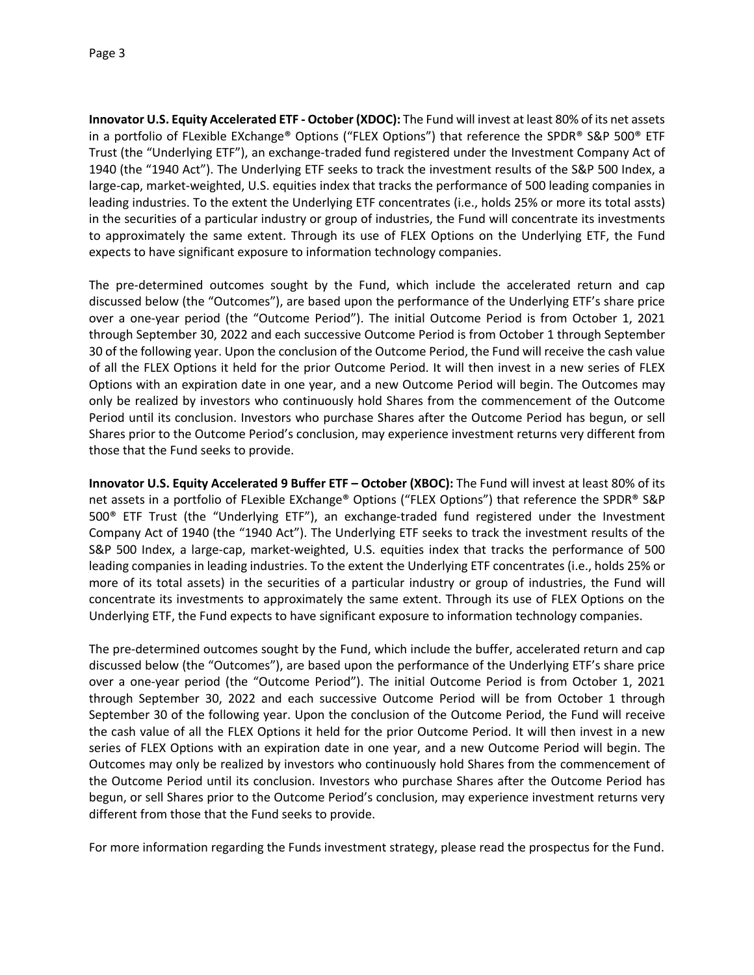**Innovator U.S. Equity Accelerated ETF - October (XDOC):** The Fund will invest at least 80% of its net assets in a portfolio of FLexible EXchange® Options ("FLEX Options") that reference the SPDR® S&P 500® ETF Trust (the "Underlying ETF"), an exchange-traded fund registered under the Investment Company Act of 1940 (the "1940 Act"). The Underlying ETF seeks to track the investment results of the S&P 500 Index, a large-cap, market-weighted, U.S. equities index that tracks the performance of 500 leading companies in leading industries. To the extent the Underlying ETF concentrates (i.e., holds 25% or more its total assts) in the securities of a particular industry or group of industries, the Fund will concentrate its investments to approximately the same extent. Through its use of FLEX Options on the Underlying ETF, the Fund expects to have significant exposure to information technology companies.

The pre-determined outcomes sought by the Fund, which include the accelerated return and cap discussed below (the "Outcomes"), are based upon the performance of the Underlying ETF's share price over a one-year period (the "Outcome Period"). The initial Outcome Period is from October 1, 2021 through September 30, 2022 and each successive Outcome Period is from October 1 through September 30 of the following year. Upon the conclusion of the Outcome Period, the Fund will receive the cash value of all the FLEX Options it held for the prior Outcome Period. It will then invest in a new series of FLEX Options with an expiration date in one year, and a new Outcome Period will begin. The Outcomes may only be realized by investors who continuously hold Shares from the commencement of the Outcome Period until its conclusion. Investors who purchase Shares after the Outcome Period has begun, or sell Shares prior to the Outcome Period's conclusion, may experience investment returns very different from those that the Fund seeks to provide.

**Innovator U.S. Equity Accelerated 9 Buffer ETF – October (XBOC):** The Fund will invest at least 80% of its net assets in a portfolio of FLexible EXchange® Options ("FLEX Options") that reference the SPDR® S&P 500® ETF Trust (the "Underlying ETF"), an exchange-traded fund registered under the Investment Company Act of 1940 (the "1940 Act"). The Underlying ETF seeks to track the investment results of the S&P 500 Index, a large-cap, market-weighted, U.S. equities index that tracks the performance of 500 leading companies in leading industries. To the extent the Underlying ETF concentrates (i.e., holds 25% or more of its total assets) in the securities of a particular industry or group of industries, the Fund will concentrate its investments to approximately the same extent. Through its use of FLEX Options on the Underlying ETF, the Fund expects to have significant exposure to information technology companies.

The pre-determined outcomes sought by the Fund, which include the buffer, accelerated return and cap discussed below (the "Outcomes"), are based upon the performance of the Underlying ETF's share price over a one-year period (the "Outcome Period"). The initial Outcome Period is from October 1, 2021 through September 30, 2022 and each successive Outcome Period will be from October 1 through September 30 of the following year. Upon the conclusion of the Outcome Period, the Fund will receive the cash value of all the FLEX Options it held for the prior Outcome Period. It will then invest in a new series of FLEX Options with an expiration date in one year, and a new Outcome Period will begin. The Outcomes may only be realized by investors who continuously hold Shares from the commencement of the Outcome Period until its conclusion. Investors who purchase Shares after the Outcome Period has begun, or sell Shares prior to the Outcome Period's conclusion, may experience investment returns very different from those that the Fund seeks to provide.

For more information regarding the Funds investment strategy, please read the prospectus for the Fund.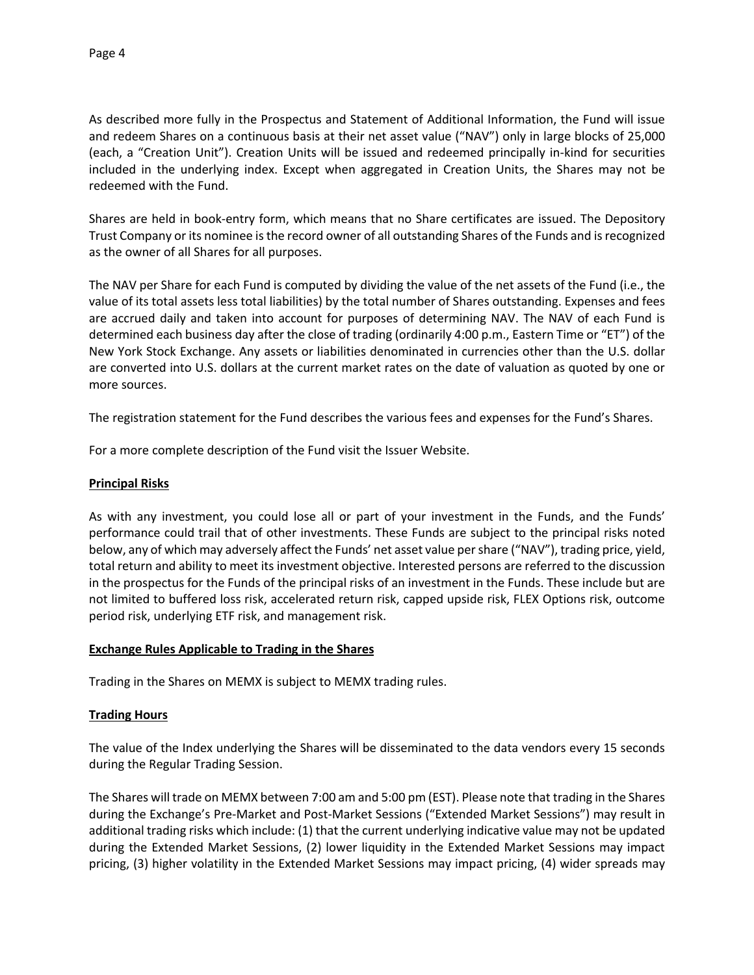As described more fully in the Prospectus and Statement of Additional Information, the Fund will issue and redeem Shares on a continuous basis at their net asset value ("NAV") only in large blocks of 25,000 (each, a "Creation Unit"). Creation Units will be issued and redeemed principally in-kind for securities included in the underlying index. Except when aggregated in Creation Units, the Shares may not be redeemed with the Fund.

Shares are held in book-entry form, which means that no Share certificates are issued. The Depository Trust Company or its nominee is the record owner of all outstanding Shares of the Funds and is recognized as the owner of all Shares for all purposes.

The NAV per Share for each Fund is computed by dividing the value of the net assets of the Fund (i.e., the value of its total assets less total liabilities) by the total number of Shares outstanding. Expenses and fees are accrued daily and taken into account for purposes of determining NAV. The NAV of each Fund is determined each business day after the close of trading (ordinarily 4:00 p.m., Eastern Time or "ET") of the New York Stock Exchange. Any assets or liabilities denominated in currencies other than the U.S. dollar are converted into U.S. dollars at the current market rates on the date of valuation as quoted by one or more sources.

The registration statement for the Fund describes the various fees and expenses for the Fund's Shares.

For a more complete description of the Fund visit the Issuer Website.

# **Principal Risks**

As with any investment, you could lose all or part of your investment in the Funds, and the Funds' performance could trail that of other investments. These Funds are subject to the principal risks noted below, any of which may adversely affect the Funds' net asset value per share ("NAV"), trading price, yield, total return and ability to meet its investment objective. Interested persons are referred to the discussion in the prospectus for the Funds of the principal risks of an investment in the Funds. These include but are not limited to buffered loss risk, accelerated return risk, capped upside risk, FLEX Options risk, outcome period risk, underlying ETF risk, and management risk.

# **Exchange Rules Applicable to Trading in the Shares**

Trading in the Shares on MEMX is subject to MEMX trading rules.

# **Trading Hours**

The value of the Index underlying the Shares will be disseminated to the data vendors every 15 seconds during the Regular Trading Session.

The Shares will trade on MEMX between 7:00 am and 5:00 pm (EST). Please note that trading in the Shares during the Exchange's Pre-Market and Post-Market Sessions ("Extended Market Sessions") may result in additional trading risks which include: (1) that the current underlying indicative value may not be updated during the Extended Market Sessions, (2) lower liquidity in the Extended Market Sessions may impact pricing, (3) higher volatility in the Extended Market Sessions may impact pricing, (4) wider spreads may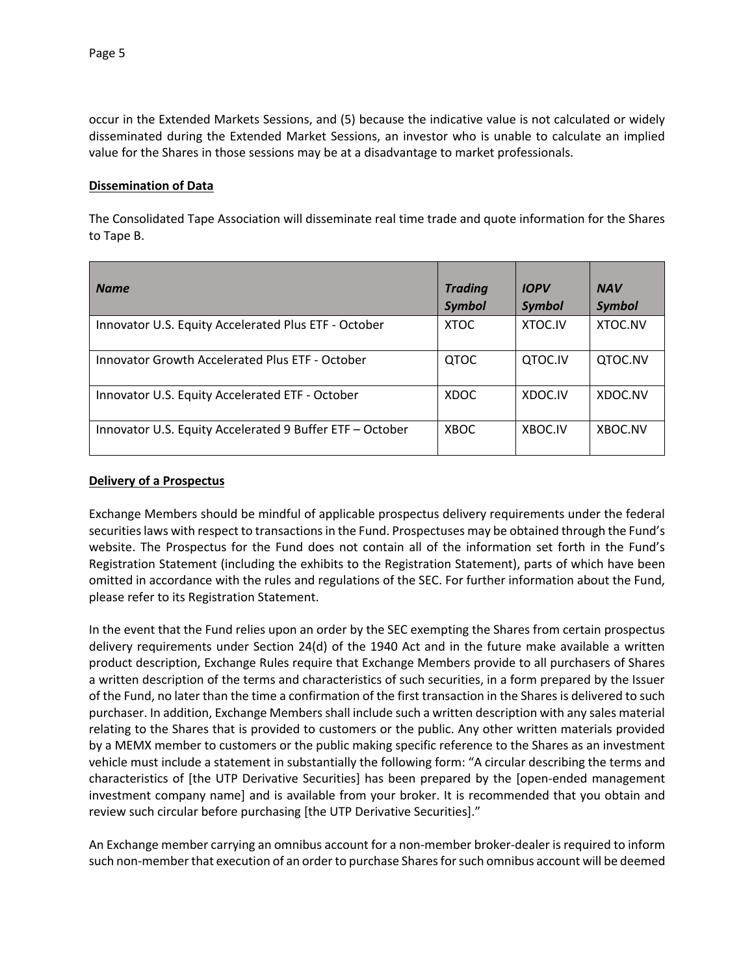occur in the Extended Markets Sessions, and (5) because the indicative value is not calculated or widely disseminated during the Extended Market Sessions, an investor who is unable to calculate an implied value for the Shares in those sessions may be at a disadvantage to market professionals.

## **Dissemination of Data**

The Consolidated Tape Association will disseminate real time trade and quote information for the Shares to Tape B.

| <b>Name</b>                                              | <b>Trading</b><br><b>Symbol</b> | <b>IOPV</b><br><b>Symbol</b> | <b>NAV</b><br><b>Symbol</b> |
|----------------------------------------------------------|---------------------------------|------------------------------|-----------------------------|
| Innovator U.S. Equity Accelerated Plus ETF - October     | <b>XTOC</b>                     | XTOC.IV                      | XTOC.NV                     |
| Innovator Growth Accelerated Plus ETF - October          | <b>QTOC</b>                     | QTOC.IV                      | QTOC.NV                     |
| Innovator U.S. Equity Accelerated ETF - October          | <b>XDOC</b>                     | XDOC.IV                      | XDOC.NV                     |
| Innovator U.S. Equity Accelerated 9 Buffer ETF - October | <b>XBOC</b>                     | XBOC.IV                      | XBOC.NV                     |

#### **Delivery of a Prospectus**

Exchange Members should be mindful of applicable prospectus delivery requirements under the federal securities laws with respect to transactions in the Fund. Prospectuses may be obtained through the Fund's website. The Prospectus for the Fund does not contain all of the information set forth in the Fund's Registration Statement (including the exhibits to the Registration Statement), parts of which have been omitted in accordance with the rules and regulations of the SEC. For further information about the Fund, please refer to its Registration Statement.

In the event that the Fund relies upon an order by the SEC exempting the Shares from certain prospectus delivery requirements under Section 24(d) of the 1940 Act and in the future make available a written product description, Exchange Rules require that Exchange Members provide to all purchasers of Shares a written description of the terms and characteristics of such securities, in a form prepared by the Issuer of the Fund, no later than the time a confirmation of the first transaction in the Shares is delivered to such purchaser. In addition, Exchange Members shall include such a written description with any sales material relating to the Shares that is provided to customers or the public. Any other written materials provided by a MEMX member to customers or the public making specific reference to the Shares as an investment vehicle must include a statement in substantially the following form: "A circular describing the terms and characteristics of [the UTP Derivative Securities] has been prepared by the [open-ended management investment company name] and is available from your broker. It is recommended that you obtain and review such circular before purchasing [the UTP Derivative Securities]."

An Exchange member carrying an omnibus account for a non-member broker-dealer is required to inform such non-member that execution of an order to purchase Shares for such omnibus account will be deemed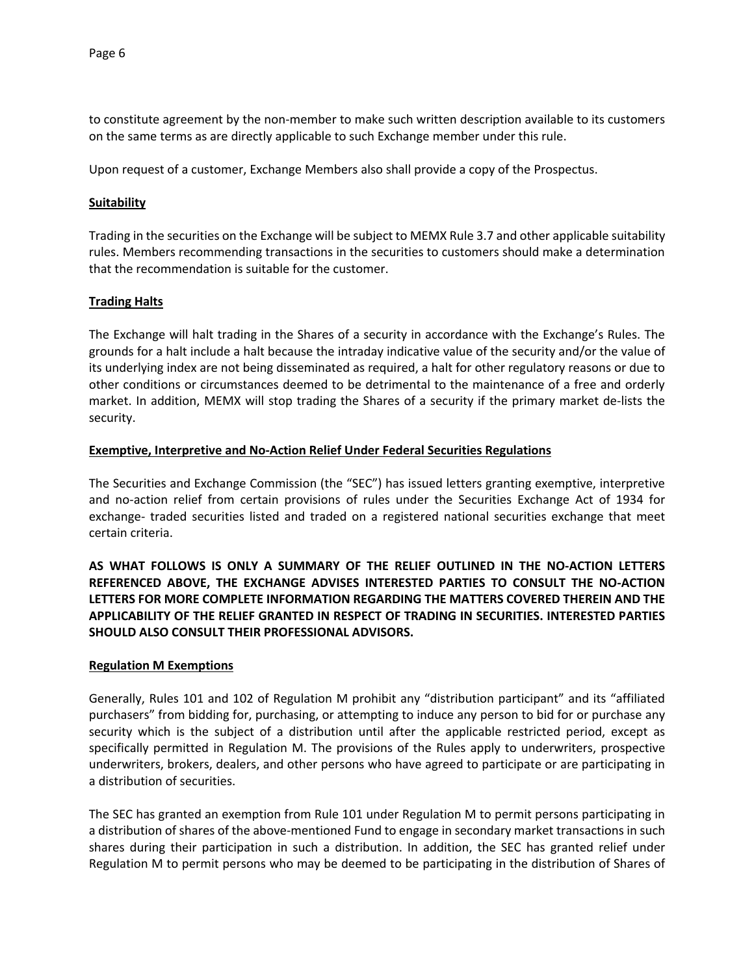to constitute agreement by the non-member to make such written description available to its customers on the same terms as are directly applicable to such Exchange member under this rule.

Upon request of a customer, Exchange Members also shall provide a copy of the Prospectus.

### **Suitability**

Trading in the securities on the Exchange will be subject to MEMX Rule 3.7 and other applicable suitability rules. Members recommending transactions in the securities to customers should make a determination that the recommendation is suitable for the customer.

### **Trading Halts**

The Exchange will halt trading in the Shares of a security in accordance with the Exchange's Rules. The grounds for a halt include a halt because the intraday indicative value of the security and/or the value of its underlying index are not being disseminated as required, a halt for other regulatory reasons or due to other conditions or circumstances deemed to be detrimental to the maintenance of a free and orderly market. In addition, MEMX will stop trading the Shares of a security if the primary market de-lists the security.

### **Exemptive, Interpretive and No-Action Relief Under Federal Securities Regulations**

The Securities and Exchange Commission (the "SEC") has issued letters granting exemptive, interpretive and no-action relief from certain provisions of rules under the Securities Exchange Act of 1934 for exchange- traded securities listed and traded on a registered national securities exchange that meet certain criteria.

**AS WHAT FOLLOWS IS ONLY A SUMMARY OF THE RELIEF OUTLINED IN THE NO-ACTION LETTERS REFERENCED ABOVE, THE EXCHANGE ADVISES INTERESTED PARTIES TO CONSULT THE NO-ACTION LETTERS FOR MORE COMPLETE INFORMATION REGARDING THE MATTERS COVERED THEREIN AND THE APPLICABILITY OF THE RELIEF GRANTED IN RESPECT OF TRADING IN SECURITIES. INTERESTED PARTIES SHOULD ALSO CONSULT THEIR PROFESSIONAL ADVISORS.**

#### **Regulation M Exemptions**

Generally, Rules 101 and 102 of Regulation M prohibit any "distribution participant" and its "affiliated purchasers" from bidding for, purchasing, or attempting to induce any person to bid for or purchase any security which is the subject of a distribution until after the applicable restricted period, except as specifically permitted in Regulation M. The provisions of the Rules apply to underwriters, prospective underwriters, brokers, dealers, and other persons who have agreed to participate or are participating in a distribution of securities.

The SEC has granted an exemption from Rule 101 under Regulation M to permit persons participating in a distribution of shares of the above-mentioned Fund to engage in secondary market transactions in such shares during their participation in such a distribution. In addition, the SEC has granted relief under Regulation M to permit persons who may be deemed to be participating in the distribution of Shares of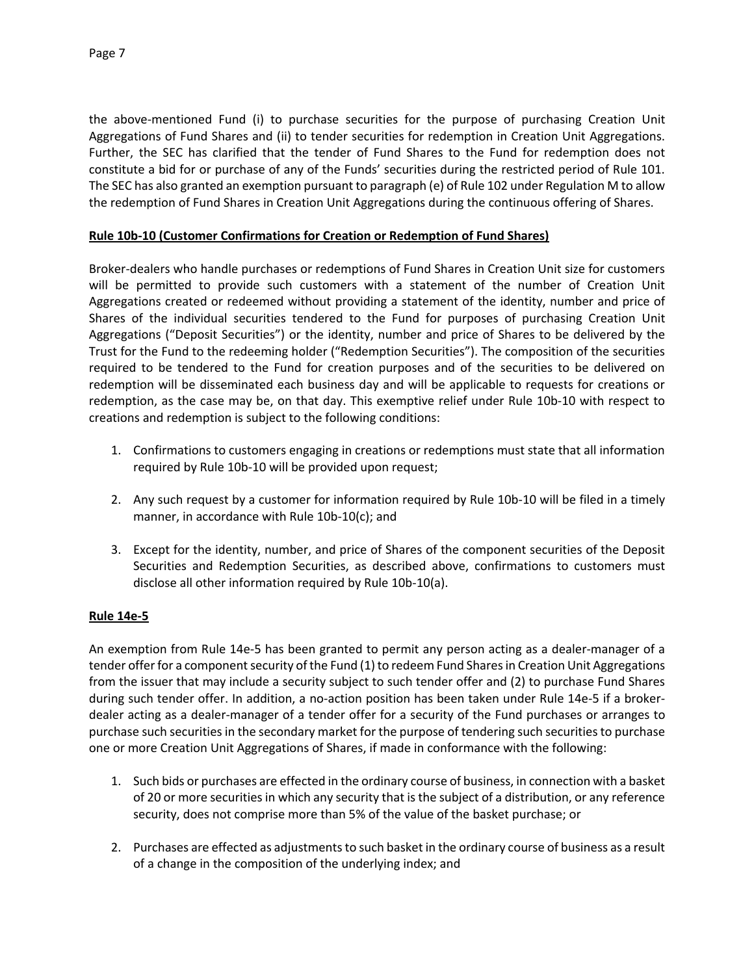the above-mentioned Fund (i) to purchase securities for the purpose of purchasing Creation Unit Aggregations of Fund Shares and (ii) to tender securities for redemption in Creation Unit Aggregations. Further, the SEC has clarified that the tender of Fund Shares to the Fund for redemption does not constitute a bid for or purchase of any of the Funds' securities during the restricted period of Rule 101. The SEC has also granted an exemption pursuant to paragraph (e) of Rule 102 under Regulation M to allow the redemption of Fund Shares in Creation Unit Aggregations during the continuous offering of Shares.

## **Rule 10b-10 (Customer Confirmations for Creation or Redemption of Fund Shares)**

Broker-dealers who handle purchases or redemptions of Fund Shares in Creation Unit size for customers will be permitted to provide such customers with a statement of the number of Creation Unit Aggregations created or redeemed without providing a statement of the identity, number and price of Shares of the individual securities tendered to the Fund for purposes of purchasing Creation Unit Aggregations ("Deposit Securities") or the identity, number and price of Shares to be delivered by the Trust for the Fund to the redeeming holder ("Redemption Securities"). The composition of the securities required to be tendered to the Fund for creation purposes and of the securities to be delivered on redemption will be disseminated each business day and will be applicable to requests for creations or redemption, as the case may be, on that day. This exemptive relief under Rule 10b-10 with respect to creations and redemption is subject to the following conditions:

- 1. Confirmations to customers engaging in creations or redemptions must state that all information required by Rule 10b-10 will be provided upon request;
- 2. Any such request by a customer for information required by Rule 10b-10 will be filed in a timely manner, in accordance with Rule 10b-10(c); and
- 3. Except for the identity, number, and price of Shares of the component securities of the Deposit Securities and Redemption Securities, as described above, confirmations to customers must disclose all other information required by Rule 10b-10(a).

# **Rule 14e-5**

An exemption from Rule 14e-5 has been granted to permit any person acting as a dealer-manager of a tender offer for a component security of the Fund (1) to redeem Fund Shares in Creation Unit Aggregations from the issuer that may include a security subject to such tender offer and (2) to purchase Fund Shares during such tender offer. In addition, a no-action position has been taken under Rule 14e-5 if a brokerdealer acting as a dealer-manager of a tender offer for a security of the Fund purchases or arranges to purchase such securities in the secondary market for the purpose of tendering such securities to purchase one or more Creation Unit Aggregations of Shares, if made in conformance with the following:

- 1. Such bids or purchases are effected in the ordinary course of business, in connection with a basket of 20 or more securities in which any security that is the subject of a distribution, or any reference security, does not comprise more than 5% of the value of the basket purchase; or
- 2. Purchases are effected as adjustments to such basket in the ordinary course of business as a result of a change in the composition of the underlying index; and